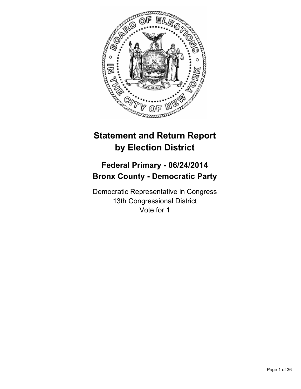

# **Statement and Return Report by Election District**

# **Federal Primary - 06/24/2014 Bronx County - Democratic Party**

Democratic Representative in Congress 13th Congressional District Vote for 1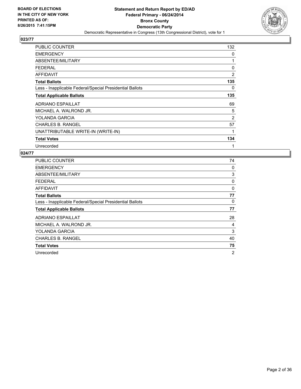

| <b>PUBLIC COUNTER</b>                                    | 132            |
|----------------------------------------------------------|----------------|
| <b>EMERGENCY</b>                                         | 0              |
| ABSENTEE/MILITARY                                        | 1              |
| <b>FEDERAL</b>                                           | 0              |
| <b>AFFIDAVIT</b>                                         | $\overline{2}$ |
| <b>Total Ballots</b>                                     | 135            |
| Less - Inapplicable Federal/Special Presidential Ballots | 0              |
| <b>Total Applicable Ballots</b>                          | 135            |
| <b>ADRIANO ESPAILLAT</b>                                 | 69             |
| MICHAEL A. WALROND JR.                                   | 5              |
| YOLANDA GARCIA                                           | 2              |
| <b>CHARLES B. RANGEL</b>                                 | 57             |
| UNATTRIBUTABLE WRITE-IN (WRITE-IN)                       | 1              |
| <b>Total Votes</b>                                       | 134            |
| Unrecorded                                               | 1              |

| <b>PUBLIC COUNTER</b>                                    | 74             |
|----------------------------------------------------------|----------------|
| <b>EMERGENCY</b>                                         | 0              |
| ABSENTEE/MILITARY                                        | 3              |
| FEDERAL                                                  | 0              |
| <b>AFFIDAVIT</b>                                         | 0              |
| <b>Total Ballots</b>                                     | 77             |
| Less - Inapplicable Federal/Special Presidential Ballots | 0              |
| <b>Total Applicable Ballots</b>                          | 77             |
| <b>ADRIANO ESPAILLAT</b>                                 | 28             |
| MICHAEL A. WALROND JR.                                   | 4              |
| YOLANDA GARCIA                                           | 3              |
| <b>CHARLES B. RANGEL</b>                                 | 40             |
| <b>Total Votes</b>                                       | 75             |
| Unrecorded                                               | $\overline{2}$ |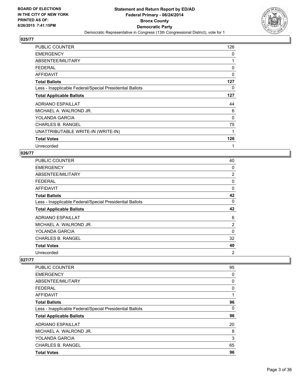

| <b>PUBLIC COUNTER</b>                                    | 126 |
|----------------------------------------------------------|-----|
| <b>EMERGENCY</b>                                         | 0   |
| ABSENTEE/MILITARY                                        | 1   |
| <b>FEDERAL</b>                                           | 0   |
| AFFIDAVIT                                                | 0   |
| <b>Total Ballots</b>                                     | 127 |
| Less - Inapplicable Federal/Special Presidential Ballots | 0   |
| <b>Total Applicable Ballots</b>                          | 127 |
| <b>ADRIANO ESPAILLAT</b>                                 | 44  |
| MICHAEL A. WALROND JR.                                   | 6   |
| YOLANDA GARCIA                                           | 0   |
| <b>CHARLES B. RANGEL</b>                                 | 75  |
| UNATTRIBUTABLE WRITE-IN (WRITE-IN)                       | 1   |
| <b>Total Votes</b>                                       | 126 |
| Unrecorded                                               | 1   |

## **026/77**

| <b>PUBLIC COUNTER</b>                                    | 40 |
|----------------------------------------------------------|----|
| <b>EMERGENCY</b>                                         | 0  |
| ABSENTEE/MILITARY                                        | 2  |
| <b>FEDERAL</b>                                           | 0  |
| AFFIDAVIT                                                | 0  |
| <b>Total Ballots</b>                                     | 42 |
| Less - Inapplicable Federal/Special Presidential Ballots | 0  |
| <b>Total Applicable Ballots</b>                          | 42 |
| <b>ADRIANO ESPAILLAT</b>                                 | 6  |
| MICHAEL A. WALROND JR.                                   | 2  |
| YOLANDA GARCIA                                           | 0  |
| <b>CHARLES B. RANGEL</b>                                 | 32 |
| <b>Total Votes</b>                                       | 40 |
|                                                          |    |

| <b>PUBLIC COUNTER</b>                                    | 95 |
|----------------------------------------------------------|----|
| <b>EMERGENCY</b>                                         | 0  |
| ABSENTEE/MILITARY                                        | 0  |
| <b>FEDERAL</b>                                           | 0  |
| AFFIDAVIT                                                | 1  |
| <b>Total Ballots</b>                                     | 96 |
| Less - Inapplicable Federal/Special Presidential Ballots | 0  |
| <b>Total Applicable Ballots</b>                          | 96 |
| <b>ADRIANO ESPAILLAT</b>                                 | 20 |
| MICHAEL A. WALROND JR.                                   | 8  |
| <b>YOLANDA GARCIA</b>                                    | 3  |
| <b>CHARLES B. RANGEL</b>                                 | 65 |
| <b>Total Votes</b>                                       | 96 |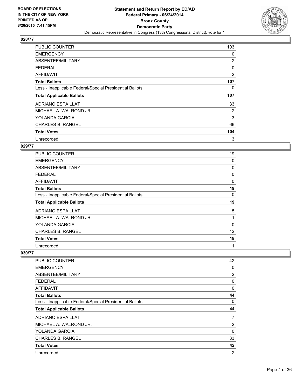

| <b>PUBLIC COUNTER</b>                                    | 103 |
|----------------------------------------------------------|-----|
| <b>EMERGENCY</b>                                         | 0   |
| ABSENTEE/MILITARY                                        | 2   |
| <b>FEDERAL</b>                                           | 0   |
| AFFIDAVIT                                                | 2   |
| <b>Total Ballots</b>                                     | 107 |
| Less - Inapplicable Federal/Special Presidential Ballots | 0   |
| <b>Total Applicable Ballots</b>                          | 107 |
| ADRIANO ESPAILLAT                                        | 33  |
| MICHAEL A. WALROND JR.                                   | 2   |
| YOLANDA GARCIA                                           | 3   |
| <b>CHARLES B. RANGEL</b>                                 | 66  |
| <b>Total Votes</b>                                       | 104 |
| Unrecorded                                               | 3   |

#### **029/77**

| PUBLIC COUNTER                                           | 19 |
|----------------------------------------------------------|----|
| <b>EMERGENCY</b>                                         | 0  |
| ABSENTEE/MILITARY                                        | 0  |
| <b>FEDERAL</b>                                           | 0  |
| AFFIDAVIT                                                | 0  |
| <b>Total Ballots</b>                                     | 19 |
| Less - Inapplicable Federal/Special Presidential Ballots | 0  |
| <b>Total Applicable Ballots</b>                          | 19 |
| <b>ADRIANO ESPAILLAT</b>                                 | 5  |
| MICHAEL A. WALROND JR.                                   | 1  |
| YOLANDA GARCIA                                           | 0  |
| <b>CHARLES B. RANGEL</b>                                 | 12 |
| <b>Total Votes</b>                                       | 18 |
| Unrecorded                                               | 1  |

| <b>PUBLIC COUNTER</b>                                    | 42 |
|----------------------------------------------------------|----|
| <b>EMERGENCY</b>                                         | 0  |
| ABSENTEE/MILITARY                                        | 2  |
| <b>FEDERAL</b>                                           | 0  |
| AFFIDAVIT                                                | 0  |
| <b>Total Ballots</b>                                     | 44 |
| Less - Inapplicable Federal/Special Presidential Ballots | 0  |
| <b>Total Applicable Ballots</b>                          | 44 |
| <b>ADRIANO ESPAILLAT</b>                                 | 7  |
| MICHAEL A. WALROND JR.                                   | 2  |
| YOLANDA GARCIA                                           | 0  |
| <b>CHARLES B. RANGEL</b>                                 | 33 |
|                                                          |    |
| <b>Total Votes</b>                                       | 42 |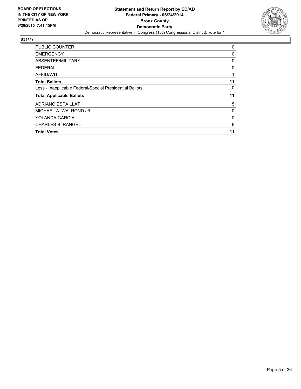

| <b>PUBLIC COUNTER</b>                                    | 10 |
|----------------------------------------------------------|----|
| <b>EMERGENCY</b>                                         | 0  |
| ABSENTEE/MILITARY                                        | 0  |
| <b>FEDERAL</b>                                           | 0  |
| <b>AFFIDAVIT</b>                                         | 1  |
| <b>Total Ballots</b>                                     | 11 |
| Less - Inapplicable Federal/Special Presidential Ballots | 0  |
| <b>Total Applicable Ballots</b>                          | 11 |
| <b>ADRIANO ESPAILLAT</b>                                 | 5  |
| MICHAEL A. WALROND JR.                                   | 0  |
| YOLANDA GARCIA                                           | 0  |
| <b>CHARLES B. RANGEL</b>                                 | 6  |
| <b>Total Votes</b>                                       | 11 |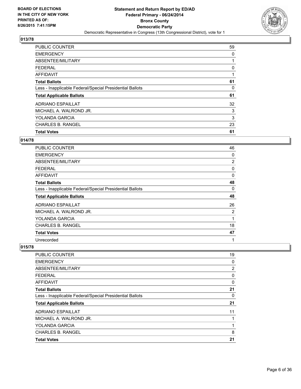

| <b>PUBLIC COUNTER</b>                                    | 59 |
|----------------------------------------------------------|----|
| <b>EMERGENCY</b>                                         | 0  |
| ABSENTEE/MILITARY                                        |    |
| <b>FEDERAL</b>                                           | 0  |
| <b>AFFIDAVIT</b>                                         |    |
| <b>Total Ballots</b>                                     | 61 |
| Less - Inapplicable Federal/Special Presidential Ballots | 0  |
| <b>Total Applicable Ballots</b>                          | 61 |
| ADRIANO ESPAILLAT                                        | 32 |
| MICHAEL A. WALROND JR.                                   | 3  |
| YOLANDA GARCIA                                           | 3  |
| <b>CHARLES B. RANGEL</b>                                 | 23 |
| <b>Total Votes</b>                                       | 61 |

## **014/78**

| <b>PUBLIC COUNTER</b>                                    | 46           |
|----------------------------------------------------------|--------------|
| <b>EMERGENCY</b>                                         | 0            |
| ABSENTEE/MILITARY                                        | 2            |
| <b>FEDERAL</b>                                           | 0            |
| AFFIDAVIT                                                | 0            |
| <b>Total Ballots</b>                                     | 48           |
| Less - Inapplicable Federal/Special Presidential Ballots | 0            |
| <b>Total Applicable Ballots</b>                          | 48           |
| <b>ADRIANO ESPAILLAT</b>                                 | 26           |
| MICHAEL A. WALROND JR.                                   | 2            |
| YOLANDA GARCIA                                           | 1            |
| <b>CHARLES B. RANGEL</b>                                 | 18           |
| <b>Total Votes</b>                                       | 47           |
| Unrecorded                                               | $\mathbf{1}$ |

| <b>Total Votes</b>                                       | 21 |
|----------------------------------------------------------|----|
| <b>CHARLES B. RANGEL</b>                                 | 8  |
| <b>YOLANDA GARCIA</b>                                    | 1  |
| MICHAEL A. WALROND JR.                                   | 1  |
| <b>ADRIANO ESPAILLAT</b>                                 | 11 |
| <b>Total Applicable Ballots</b>                          | 21 |
| Less - Inapplicable Federal/Special Presidential Ballots | 0  |
| <b>Total Ballots</b>                                     | 21 |
| AFFIDAVIT                                                | 0  |
| <b>FEDERAL</b>                                           | 0  |
| ABSENTEE/MILITARY                                        | 2  |
| <b>EMERGENCY</b>                                         | 0  |
| <b>PUBLIC COUNTER</b>                                    | 19 |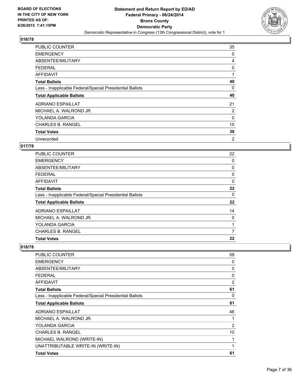

| <b>PUBLIC COUNTER</b>                                    | 35             |
|----------------------------------------------------------|----------------|
| <b>EMERGENCY</b>                                         | 0              |
| ABSENTEE/MILITARY                                        | 4              |
| <b>FEDERAL</b>                                           | 0              |
| AFFIDAVIT                                                |                |
| <b>Total Ballots</b>                                     | 40             |
| Less - Inapplicable Federal/Special Presidential Ballots | 0              |
| <b>Total Applicable Ballots</b>                          | 40             |
| <b>ADRIANO ESPAILLAT</b>                                 | 21             |
| MICHAEL A. WALROND JR.                                   | $\overline{2}$ |
| YOLANDA GARCIA                                           | 0              |
| <b>CHARLES B. RANGEL</b>                                 | 15             |
| <b>Total Votes</b>                                       | 38             |
| Unrecorded                                               | 2              |

## **017/78**

| <b>PUBLIC COUNTER</b>                                    | 22 |
|----------------------------------------------------------|----|
| <b>EMERGENCY</b>                                         | 0  |
| ABSENTEE/MILITARY                                        | 0  |
| <b>FEDERAL</b>                                           | 0  |
| AFFIDAVIT                                                | 0  |
| <b>Total Ballots</b>                                     | 22 |
| Less - Inapplicable Federal/Special Presidential Ballots | 0  |
| <b>Total Applicable Ballots</b>                          | 22 |
| <b>ADRIANO ESPAILLAT</b>                                 | 14 |
| MICHAEL A. WALROND JR.                                   | 0  |
| <b>YOLANDA GARCIA</b>                                    | 1  |
| <b>CHARLES B. RANGEL</b>                                 | 7  |
| <b>Total Votes</b>                                       | 22 |

| <b>PUBLIC COUNTER</b>                                    | 59             |
|----------------------------------------------------------|----------------|
| <b>EMERGENCY</b>                                         | 0              |
| ABSENTEE/MILITARY                                        | 0              |
| <b>FEDERAL</b>                                           | 0              |
| <b>AFFIDAVIT</b>                                         | $\overline{2}$ |
| <b>Total Ballots</b>                                     | 61             |
| Less - Inapplicable Federal/Special Presidential Ballots | 0              |
| <b>Total Applicable Ballots</b>                          | 61             |
| <b>ADRIANO ESPAILLAT</b>                                 | 46             |
| MICHAEL A. WALROND JR.                                   | 1              |
| YOLANDA GARCIA                                           | 2              |
| <b>CHARLES B. RANGEL</b>                                 | 10             |
| MICHAEL WALROND (WRITE-IN)                               | 1              |
| UNATTRIBUTABLE WRITE-IN (WRITE-IN)                       | 1              |
| <b>Total Votes</b>                                       | 61             |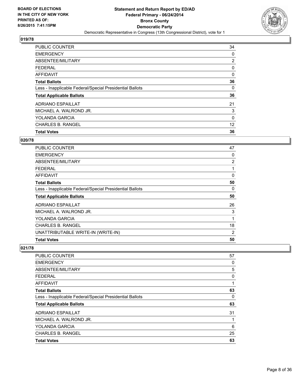

| <b>PUBLIC COUNTER</b>                                    | 34 |
|----------------------------------------------------------|----|
| <b>EMERGENCY</b>                                         | 0  |
| ABSENTEE/MILITARY                                        | 2  |
| <b>FEDERAL</b>                                           | 0  |
| AFFIDAVIT                                                | 0  |
| <b>Total Ballots</b>                                     | 36 |
| Less - Inapplicable Federal/Special Presidential Ballots | 0  |
| <b>Total Applicable Ballots</b>                          | 36 |
| <b>ADRIANO ESPAILLAT</b>                                 | 21 |
| MICHAEL A. WALROND JR.                                   | 3  |
| <b>YOLANDA GARCIA</b>                                    | 0  |
| <b>CHARLES B. RANGEL</b>                                 | 12 |
| <b>Total Votes</b>                                       | 36 |

#### **020/78**

| PUBLIC COUNTER                                           | 47 |
|----------------------------------------------------------|----|
| <b>EMERGENCY</b>                                         | 0  |
| ABSENTEE/MILITARY                                        | 2  |
| <b>FEDERAL</b>                                           | 1  |
| AFFIDAVIT                                                | 0  |
| <b>Total Ballots</b>                                     | 50 |
| Less - Inapplicable Federal/Special Presidential Ballots | 0  |
| <b>Total Applicable Ballots</b>                          | 50 |
| <b>ADRIANO ESPAILLAT</b>                                 | 26 |
| MICHAEL A. WALROND JR.                                   | 3  |
| YOLANDA GARCIA                                           | 1  |
| <b>CHARLES B. RANGEL</b>                                 | 18 |
| UNATTRIBUTABLE WRITE-IN (WRITE-IN)                       | 2  |
| <b>Total Votes</b>                                       | 50 |

| <b>Total Votes</b>                                       |    |
|----------------------------------------------------------|----|
|                                                          | 63 |
| <b>CHARLES B. RANGEL</b>                                 | 25 |
| <b>YOLANDA GARCIA</b>                                    | 6  |
| MICHAEL A. WALROND JR.                                   |    |
| ADRIANO ESPAILLAT                                        | 31 |
| <b>Total Applicable Ballots</b>                          | 63 |
| Less - Inapplicable Federal/Special Presidential Ballots | 0  |
| <b>Total Ballots</b>                                     | 63 |
| <b>AFFIDAVIT</b>                                         |    |
| <b>FEDERAL</b>                                           | 0  |
| ABSENTEE/MILITARY                                        | 5  |
| <b>EMERGENCY</b>                                         | 0  |
| <b>PUBLIC COUNTER</b>                                    | 57 |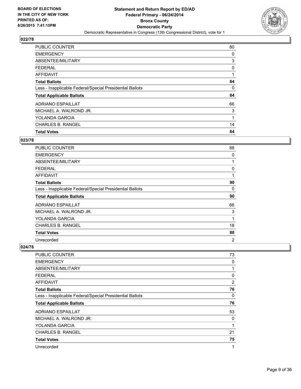

| <b>PUBLIC COUNTER</b>                                    | 80 |
|----------------------------------------------------------|----|
| <b>EMERGENCY</b>                                         | 0  |
| ABSENTEE/MILITARY                                        | 3  |
| <b>FEDERAL</b>                                           | 0  |
| <b>AFFIDAVIT</b>                                         |    |
| <b>Total Ballots</b>                                     | 84 |
| Less - Inapplicable Federal/Special Presidential Ballots | 0  |
| <b>Total Applicable Ballots</b>                          | 84 |
| <b>ADRIANO ESPAILLAT</b>                                 | 66 |
| MICHAEL A. WALROND JR.                                   | 3  |
| <b>YOLANDA GARCIA</b>                                    | 1  |
| <b>CHARLES B. RANGEL</b>                                 | 14 |
| <b>Total Votes</b>                                       | 84 |

#### **023/78**

| PUBLIC COUNTER                                           | 88 |
|----------------------------------------------------------|----|
| <b>EMERGENCY</b>                                         | 0  |
| ABSENTEE/MILITARY                                        | 1  |
| <b>FEDERAL</b>                                           | 0  |
| AFFIDAVIT                                                | 1  |
| <b>Total Ballots</b>                                     | 90 |
| Less - Inapplicable Federal/Special Presidential Ballots | 0  |
| <b>Total Applicable Ballots</b>                          | 90 |
| <b>ADRIANO ESPAILLAT</b>                                 | 66 |
| MICHAEL A. WALROND JR.                                   | 3  |
| YOLANDA GARCIA                                           | 1  |
| CHARLES B. RANGEL                                        | 18 |
| <b>Total Votes</b>                                       | 88 |
| Unrecorded                                               | 2  |

| <b>PUBLIC COUNTER</b>                                    | 73 |
|----------------------------------------------------------|----|
| <b>EMERGENCY</b>                                         | 0  |
| ABSENTEE/MILITARY                                        | 1  |
| <b>FEDERAL</b>                                           | 0  |
| AFFIDAVIT                                                | 2  |
| <b>Total Ballots</b>                                     | 76 |
| Less - Inapplicable Federal/Special Presidential Ballots | 0  |
| <b>Total Applicable Ballots</b>                          | 76 |
| ADRIANO ESPAILLAT                                        | 53 |
| MICHAEL A. WALROND JR.                                   | 0  |
| <b>YOLANDA GARCIA</b>                                    | 1  |
| <b>CHARLES B. RANGEL</b>                                 | 21 |
| <b>Total Votes</b>                                       | 75 |
| Unrecorded                                               | 1  |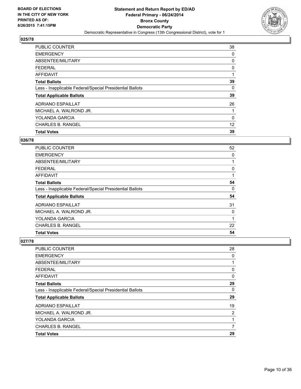

| <b>PUBLIC COUNTER</b>                                    | 38 |
|----------------------------------------------------------|----|
| <b>EMERGENCY</b>                                         | 0  |
| ABSENTEE/MILITARY                                        | 0  |
| <b>FEDERAL</b>                                           | 0  |
| AFFIDAVIT                                                |    |
| <b>Total Ballots</b>                                     | 39 |
| Less - Inapplicable Federal/Special Presidential Ballots | 0  |
| <b>Total Applicable Ballots</b>                          | 39 |
| <b>ADRIANO ESPAILLAT</b>                                 | 26 |
| MICHAEL A. WALROND JR.                                   |    |
| YOLANDA GARCIA                                           | 0  |
| <b>CHARLES B. RANGEL</b>                                 | 12 |
| <b>Total Votes</b>                                       | 39 |

#### **026/78**

| <b>PUBLIC COUNTER</b>                                    | 52 |
|----------------------------------------------------------|----|
| <b>EMERGENCY</b>                                         | 0  |
| ABSENTEE/MILITARY                                        |    |
| <b>FEDERAL</b>                                           | 0  |
| AFFIDAVIT                                                | 1  |
| <b>Total Ballots</b>                                     | 54 |
| Less - Inapplicable Federal/Special Presidential Ballots | 0  |
| <b>Total Applicable Ballots</b>                          | 54 |
| ADRIANO ESPAILLAT                                        | 31 |
| MICHAEL A. WALROND JR.                                   | 0  |
| YOLANDA GARCIA                                           | 1  |
| <b>CHARLES B. RANGEL</b>                                 | 22 |
| <b>Total Votes</b>                                       | 54 |

| PUBLIC COUNTER                                           | 28 |
|----------------------------------------------------------|----|
| <b>EMERGENCY</b>                                         | 0  |
| ABSENTEE/MILITARY                                        |    |
| <b>FEDERAL</b>                                           | 0  |
| <b>AFFIDAVIT</b>                                         | 0  |
| <b>Total Ballots</b>                                     | 29 |
| Less - Inapplicable Federal/Special Presidential Ballots | 0  |
| <b>Total Applicable Ballots</b>                          | 29 |
| <b>ADRIANO ESPAILLAT</b>                                 | 19 |
| MICHAEL A. WALROND JR.                                   | 2  |
| YOLANDA GARCIA                                           | 1  |
| <b>CHARLES B. RANGEL</b>                                 | 7  |
| <b>Total Votes</b>                                       | 29 |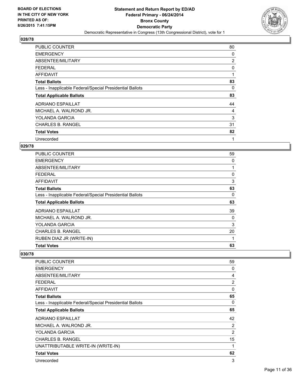

| <b>PUBLIC COUNTER</b>                                    | 80 |
|----------------------------------------------------------|----|
| <b>EMERGENCY</b>                                         | 0  |
| ABSENTEE/MILITARY                                        | 2  |
| <b>FEDERAL</b>                                           | 0  |
| AFFIDAVIT                                                | 1  |
| <b>Total Ballots</b>                                     | 83 |
| Less - Inapplicable Federal/Special Presidential Ballots | 0  |
| <b>Total Applicable Ballots</b>                          | 83 |
| ADRIANO ESPAILLAT                                        | 44 |
| MICHAEL A. WALROND JR.                                   | 4  |
| <b>YOLANDA GARCIA</b>                                    | 3  |
| <b>CHARLES B. RANGEL</b>                                 | 31 |
| <b>Total Votes</b>                                       | 82 |
| Unrecorded                                               | 1  |

## **029/78**

| <b>PUBLIC COUNTER</b>                                    | 59 |
|----------------------------------------------------------|----|
| <b>EMERGENCY</b>                                         | 0  |
| ABSENTEE/MILITARY                                        | 1  |
| <b>FEDERAL</b>                                           | 0  |
| AFFIDAVIT                                                | 3  |
| <b>Total Ballots</b>                                     | 63 |
| Less - Inapplicable Federal/Special Presidential Ballots | 0  |
| <b>Total Applicable Ballots</b>                          | 63 |
| <b>ADRIANO ESPAILLAT</b>                                 | 39 |
| MICHAEL A. WALROND JR.                                   | 0  |
| <b>YOLANDA GARCIA</b>                                    | 3  |
| <b>CHARLES B. RANGEL</b>                                 | 20 |
| RUBEN DIAZ JR (WRITE-IN)                                 | 1  |
| <b>Total Votes</b>                                       | 63 |

| PUBLIC COUNTER                                           | 59             |
|----------------------------------------------------------|----------------|
| <b>EMERGENCY</b>                                         | 0              |
| ABSENTEE/MILITARY                                        | 4              |
| <b>FEDERAL</b>                                           | 2              |
| <b>AFFIDAVIT</b>                                         | 0              |
| <b>Total Ballots</b>                                     | 65             |
| Less - Inapplicable Federal/Special Presidential Ballots | 0              |
| <b>Total Applicable Ballots</b>                          | 65             |
| ADRIANO ESPAILLAT                                        | 42             |
| MICHAEL A. WALROND JR.                                   | 2              |
| YOLANDA GARCIA                                           | $\overline{2}$ |
| <b>CHARLES B. RANGEL</b>                                 | 15             |
| UNATTRIBUTABLE WRITE-IN (WRITE-IN)                       | 1              |
| <b>Total Votes</b>                                       | 62             |
| Unrecorded                                               | 3              |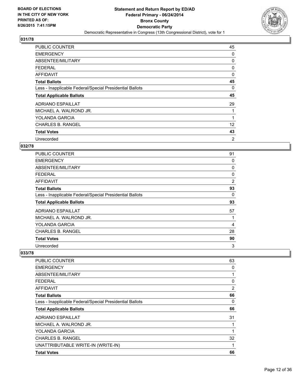

| <b>PUBLIC COUNTER</b>                                    | 45 |
|----------------------------------------------------------|----|
| <b>EMERGENCY</b>                                         | 0  |
| ABSENTEE/MILITARY                                        | 0  |
| <b>FEDERAL</b>                                           | 0  |
| AFFIDAVIT                                                | 0  |
| <b>Total Ballots</b>                                     | 45 |
| Less - Inapplicable Federal/Special Presidential Ballots | 0  |
| <b>Total Applicable Ballots</b>                          | 45 |
| <b>ADRIANO ESPAILLAT</b>                                 | 29 |
| MICHAEL A. WALROND JR.                                   | 1  |
| YOLANDA GARCIA                                           | 1  |
| <b>CHARLES B. RANGEL</b>                                 | 12 |
| <b>Total Votes</b>                                       | 43 |
| Unrecorded                                               | 2  |

## **032/78**

| <b>PUBLIC COUNTER</b>                                    | 91 |
|----------------------------------------------------------|----|
| <b>EMERGENCY</b>                                         | 0  |
| ABSENTEE/MILITARY                                        | 0  |
| <b>FEDERAL</b>                                           | 0  |
| AFFIDAVIT                                                | 2  |
| <b>Total Ballots</b>                                     | 93 |
| Less - Inapplicable Federal/Special Presidential Ballots | 0  |
| <b>Total Applicable Ballots</b>                          | 93 |
| <b>ADRIANO ESPAILLAT</b>                                 | 57 |
| MICHAEL A. WALROND JR.                                   |    |
| YOLANDA GARCIA                                           | 4  |
| <b>CHARLES B. RANGEL</b>                                 | 28 |
| <b>Total Votes</b>                                       | 90 |
| Unrecorded                                               | 3  |

| 63 |
|----|
| 0  |
| 1  |
| 0  |
| 2  |
| 66 |
| 0  |
| 66 |
| 31 |
| 1  |
| 1  |
| 32 |
| 1  |
| 66 |
|    |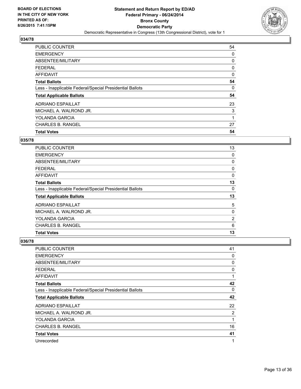

| PUBLIC COUNTER                                           | 54 |
|----------------------------------------------------------|----|
| <b>EMERGENCY</b>                                         | 0  |
| ABSENTEE/MILITARY                                        | 0  |
| <b>FEDERAL</b>                                           | 0  |
| AFFIDAVIT                                                | 0  |
| <b>Total Ballots</b>                                     | 54 |
| Less - Inapplicable Federal/Special Presidential Ballots | 0  |
| <b>Total Applicable Ballots</b>                          | 54 |
| <b>ADRIANO ESPAILLAT</b>                                 | 23 |
| MICHAEL A. WALROND JR.                                   | 3  |
| YOLANDA GARCIA                                           | 1  |
| <b>CHARLES B. RANGEL</b>                                 | 27 |
| <b>Total Votes</b>                                       | 54 |

## **035/78**

| <b>PUBLIC COUNTER</b>                                    | 13 |
|----------------------------------------------------------|----|
| <b>EMERGENCY</b>                                         | 0  |
| ABSENTEE/MILITARY                                        | 0  |
| <b>FEDERAL</b>                                           | 0  |
| AFFIDAVIT                                                | 0  |
| <b>Total Ballots</b>                                     | 13 |
| Less - Inapplicable Federal/Special Presidential Ballots | 0  |
| <b>Total Applicable Ballots</b>                          | 13 |
| <b>ADRIANO ESPAILLAT</b>                                 | 5  |
| MICHAEL A. WALROND JR.                                   | 0  |
| <b>YOLANDA GARCIA</b>                                    | 2  |
| <b>CHARLES B. RANGEL</b>                                 | 6  |
| <b>Total Votes</b>                                       | 13 |

| <b>PUBLIC COUNTER</b>                                    | 41 |
|----------------------------------------------------------|----|
| <b>EMERGENCY</b>                                         | 0  |
| ABSENTEE/MILITARY                                        | 0  |
| <b>FEDERAL</b>                                           | 0  |
| AFFIDAVIT                                                | 1  |
| <b>Total Ballots</b>                                     | 42 |
| Less - Inapplicable Federal/Special Presidential Ballots | 0  |
| <b>Total Applicable Ballots</b>                          | 42 |
| <b>ADRIANO ESPAILLAT</b>                                 | 22 |
| MICHAEL A. WALROND JR.                                   | 2  |
| YOLANDA GARCIA                                           | 1  |
| <b>CHARLES B. RANGEL</b>                                 | 16 |
| <b>Total Votes</b>                                       | 41 |
| Unrecorded                                               | 1  |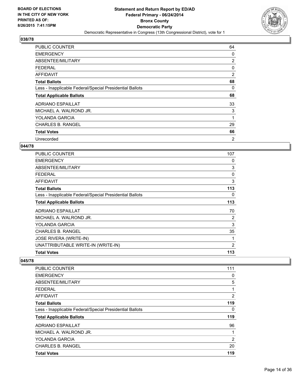

| <b>PUBLIC COUNTER</b>                                    | 64             |
|----------------------------------------------------------|----------------|
| <b>EMERGENCY</b>                                         | 0              |
| ABSENTEE/MILITARY                                        | 2              |
| <b>FEDERAL</b>                                           | 0              |
| <b>AFFIDAVIT</b>                                         | $\overline{2}$ |
| <b>Total Ballots</b>                                     | 68             |
| Less - Inapplicable Federal/Special Presidential Ballots | 0              |
| <b>Total Applicable Ballots</b>                          | 68             |
| <b>ADRIANO ESPAILLAT</b>                                 | 33             |
| MICHAEL A. WALROND JR.                                   | 3              |
| <b>YOLANDA GARCIA</b>                                    | 1              |
| <b>CHARLES B. RANGEL</b>                                 | 29             |
| <b>Total Votes</b>                                       | 66             |
| Unrecorded                                               | 2              |

#### **044/78**

| <b>PUBLIC COUNTER</b>                                    | 107 |
|----------------------------------------------------------|-----|
| <b>EMERGENCY</b>                                         | 0   |
| ABSENTEE/MILITARY                                        | 3   |
| <b>FEDERAL</b>                                           | 0   |
| <b>AFFIDAVIT</b>                                         | 3   |
| <b>Total Ballots</b>                                     | 113 |
| Less - Inapplicable Federal/Special Presidential Ballots | 0   |
| <b>Total Applicable Ballots</b>                          | 113 |
| <b>ADRIANO ESPAILLAT</b>                                 | 70  |
| MICHAEL A. WALROND JR.                                   | 2   |
| YOLANDA GARCIA                                           | 3   |
| <b>CHARLES B. RANGEL</b>                                 | 35  |
| <b>JOSE RIVERA (WRITE-IN)</b>                            | 1   |
| UNATTRIBUTABLE WRITE-IN (WRITE-IN)                       | 2   |
| <b>Total Votes</b>                                       | 113 |

| <b>PUBLIC COUNTER</b>                                    | 111            |
|----------------------------------------------------------|----------------|
| <b>EMERGENCY</b>                                         | 0              |
| ABSENTEE/MILITARY                                        | 5              |
| <b>FEDERAL</b>                                           | 1              |
| AFFIDAVIT                                                | $\overline{2}$ |
| <b>Total Ballots</b>                                     | 119            |
| Less - Inapplicable Federal/Special Presidential Ballots | 0              |
| <b>Total Applicable Ballots</b>                          | 119            |
| <b>ADRIANO ESPAILLAT</b>                                 | 96             |
| MICHAEL A. WALROND JR.                                   | 1              |
| <b>YOLANDA GARCIA</b>                                    | $\overline{2}$ |
| <b>CHARLES B. RANGEL</b>                                 | 20             |
| <b>Total Votes</b>                                       | 119            |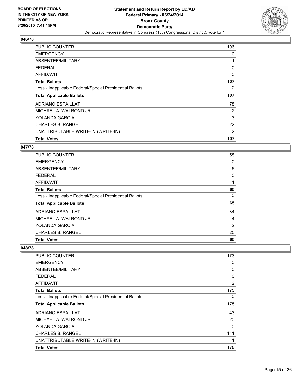

| <b>PUBLIC COUNTER</b>                                    | 106            |
|----------------------------------------------------------|----------------|
| <b>EMERGENCY</b>                                         | 0              |
| ABSENTEE/MILITARY                                        |                |
| <b>FEDERAL</b>                                           | 0              |
| AFFIDAVIT                                                | 0              |
| <b>Total Ballots</b>                                     | 107            |
| Less - Inapplicable Federal/Special Presidential Ballots | 0              |
| <b>Total Applicable Ballots</b>                          | 107            |
| <b>ADRIANO ESPAILLAT</b>                                 | 78             |
| MICHAEL A. WALROND JR.                                   | $\overline{2}$ |
| YOLANDA GARCIA                                           | 3              |
| <b>CHARLES B. RANGEL</b>                                 | 22             |
| UNATTRIBUTABLE WRITE-IN (WRITE-IN)                       | 2              |
| <b>Total Votes</b>                                       | 107            |

#### **047/78**

| <b>PUBLIC COUNTER</b>                                    | 58 |
|----------------------------------------------------------|----|
| <b>EMERGENCY</b>                                         | 0  |
| ABSENTEE/MILITARY                                        | 6  |
| <b>FEDERAL</b>                                           | 0  |
| AFFIDAVIT                                                | 1  |
| <b>Total Ballots</b>                                     | 65 |
| Less - Inapplicable Federal/Special Presidential Ballots | 0  |
| <b>Total Applicable Ballots</b>                          | 65 |
| ADRIANO ESPAILLAT                                        | 34 |
| MICHAEL A. WALROND JR.                                   | 4  |
| YOLANDA GARCIA                                           | 2  |
| <b>CHARLES B. RANGEL</b>                                 | 25 |
| <b>Total Votes</b>                                       | 65 |

| <b>PUBLIC COUNTER</b>                                    | 173            |
|----------------------------------------------------------|----------------|
| <b>EMERGENCY</b>                                         | 0              |
| ABSENTEE/MILITARY                                        | 0              |
| <b>FEDERAL</b>                                           | 0              |
| AFFIDAVIT                                                | $\overline{2}$ |
| <b>Total Ballots</b>                                     | 175            |
| Less - Inapplicable Federal/Special Presidential Ballots | 0              |
| <b>Total Applicable Ballots</b>                          | 175            |
| <b>ADRIANO ESPAILLAT</b>                                 | 43             |
| MICHAEL A. WALROND JR.                                   | 20             |
| YOLANDA GARCIA                                           | 0              |
| <b>CHARLES B. RANGEL</b>                                 | 111            |
| UNATTRIBUTABLE WRITE-IN (WRITE-IN)                       | 1              |
| <b>Total Votes</b>                                       | 175            |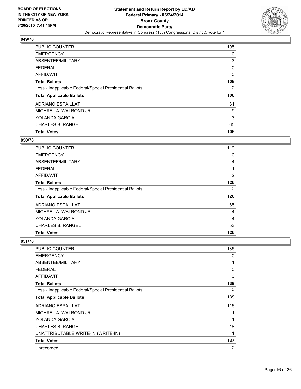

| <b>PUBLIC COUNTER</b>                                    | 105 |
|----------------------------------------------------------|-----|
| <b>EMERGENCY</b>                                         | 0   |
| ABSENTEE/MILITARY                                        | 3   |
| <b>FEDERAL</b>                                           | 0   |
| AFFIDAVIT                                                | 0   |
| <b>Total Ballots</b>                                     | 108 |
| Less - Inapplicable Federal/Special Presidential Ballots | 0   |
| <b>Total Applicable Ballots</b>                          | 108 |
| <b>ADRIANO ESPAILLAT</b>                                 | 31  |
| MICHAEL A. WALROND JR.                                   | 9   |
| <b>YOLANDA GARCIA</b>                                    | 3   |
| <b>CHARLES B. RANGEL</b>                                 | 65  |
| <b>Total Votes</b>                                       | 108 |

#### **050/78**

| <b>PUBLIC COUNTER</b>                                    | 119            |
|----------------------------------------------------------|----------------|
| <b>EMERGENCY</b>                                         | 0              |
| ABSENTEE/MILITARY                                        | 4              |
| FEDERAL                                                  |                |
| <b>AFFIDAVIT</b>                                         | $\overline{2}$ |
| <b>Total Ballots</b>                                     | 126            |
| Less - Inapplicable Federal/Special Presidential Ballots | 0              |
| <b>Total Applicable Ballots</b>                          | 126            |
| <b>ADRIANO ESPAILLAT</b>                                 | 65             |
| MICHAEL A. WALROND JR.                                   | 4              |
| YOLANDA GARCIA                                           | 4              |
| <b>CHARLES B. RANGEL</b>                                 | 53             |
| <b>Total Votes</b>                                       | 126            |

| PUBLIC COUNTER                                           | 135            |
|----------------------------------------------------------|----------------|
| <b>EMERGENCY</b>                                         | 0              |
| ABSENTEE/MILITARY                                        | 1              |
| <b>FEDERAL</b>                                           | 0              |
| <b>AFFIDAVIT</b>                                         | 3              |
| <b>Total Ballots</b>                                     | 139            |
| Less - Inapplicable Federal/Special Presidential Ballots | 0              |
| <b>Total Applicable Ballots</b>                          | 139            |
| <b>ADRIANO ESPAILLAT</b>                                 | 116            |
| MICHAEL A. WALROND JR.                                   | 1              |
| YOLANDA GARCIA                                           | 1              |
| <b>CHARLES B. RANGEL</b>                                 | 18             |
| UNATTRIBUTABLE WRITE-IN (WRITE-IN)                       | 1              |
| <b>Total Votes</b>                                       | 137            |
| Unrecorded                                               | $\overline{2}$ |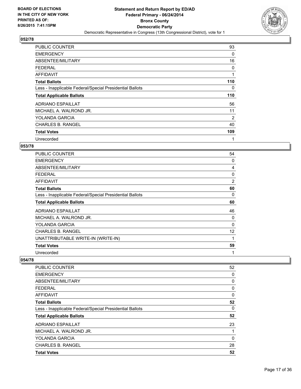

| <b>PUBLIC COUNTER</b>                                    | 93  |
|----------------------------------------------------------|-----|
| <b>EMERGENCY</b>                                         | 0   |
| ABSENTEE/MILITARY                                        | 16  |
| <b>FEDERAL</b>                                           | 0   |
| AFFIDAVIT                                                | 1   |
| <b>Total Ballots</b>                                     | 110 |
| Less - Inapplicable Federal/Special Presidential Ballots | 0   |
| <b>Total Applicable Ballots</b>                          | 110 |
| ADRIANO ESPAILLAT                                        | 56  |
| MICHAEL A. WALROND JR.                                   | 11  |
| YOLANDA GARCIA                                           | 2   |
| <b>CHARLES B. RANGEL</b>                                 | 40  |
| <b>Total Votes</b>                                       | 109 |
| Unrecorded                                               | 1   |

#### **053/78**

| <b>PUBLIC COUNTER</b>                                    | 54             |
|----------------------------------------------------------|----------------|
| <b>EMERGENCY</b>                                         | 0              |
| ABSENTEE/MILITARY                                        | 4              |
| <b>FEDERAL</b>                                           | 0              |
| AFFIDAVIT                                                | $\overline{2}$ |
| <b>Total Ballots</b>                                     | 60             |
| Less - Inapplicable Federal/Special Presidential Ballots | 0              |
| <b>Total Applicable Ballots</b>                          | 60             |
| <b>ADRIANO ESPAILLAT</b>                                 | 46             |
| MICHAEL A. WALROND JR.                                   | 0              |
| YOLANDA GARCIA                                           | $\Omega$       |
| <b>CHARLES B. RANGEL</b>                                 | 12             |
| UNATTRIBUTABLE WRITE-IN (WRITE-IN)                       | 1              |
| <b>Total Votes</b>                                       | 59             |
| Unrecorded                                               | 1              |

| PUBLIC COUNTER                                           | 52 |
|----------------------------------------------------------|----|
| <b>EMERGENCY</b>                                         | 0  |
| ABSENTEE/MILITARY                                        | 0  |
| <b>FEDERAL</b>                                           | 0  |
| AFFIDAVIT                                                | 0  |
| <b>Total Ballots</b>                                     | 52 |
| Less - Inapplicable Federal/Special Presidential Ballots | 0  |
| <b>Total Applicable Ballots</b>                          | 52 |
| <b>ADRIANO ESPAILLAT</b>                                 | 23 |
| MICHAEL A. WALROND JR.                                   | 1  |
| <b>YOLANDA GARCIA</b>                                    | 0  |
| <b>CHARLES B. RANGEL</b>                                 | 28 |
| <b>Total Votes</b>                                       | 52 |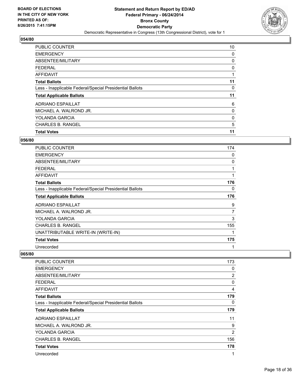

| <b>Total Votes</b>                                       | 11 |
|----------------------------------------------------------|----|
| <b>CHARLES B. RANGEL</b>                                 | 5  |
| <b>YOLANDA GARCIA</b>                                    | 0  |
| MICHAEL A. WALROND JR.                                   | 0  |
| <b>ADRIANO ESPAILLAT</b>                                 | 6  |
| <b>Total Applicable Ballots</b>                          | 11 |
| Less - Inapplicable Federal/Special Presidential Ballots | 0  |
| <b>Total Ballots</b>                                     | 11 |
| <b>AFFIDAVIT</b>                                         |    |
| <b>FEDERAL</b>                                           | 0  |
| ABSENTEE/MILITARY                                        | 0  |
| <b>EMERGENCY</b>                                         | 0  |
| PUBLIC COUNTER                                           | 10 |

#### **056/80**

| PUBLIC COUNTER                                           | 174            |
|----------------------------------------------------------|----------------|
| <b>EMERGENCY</b>                                         | 0              |
| ABSENTEE/MILITARY                                        | 0              |
| <b>FEDERAL</b>                                           | 1              |
| <b>AFFIDAVIT</b>                                         | 1              |
| <b>Total Ballots</b>                                     | 176            |
| Less - Inapplicable Federal/Special Presidential Ballots | 0              |
| <b>Total Applicable Ballots</b>                          | 176            |
| <b>ADRIANO ESPAILLAT</b>                                 | 9              |
| MICHAEL A. WALROND JR.                                   | $\overline{7}$ |
| YOLANDA GARCIA                                           | 3              |
| <b>CHARLES B. RANGEL</b>                                 | 155            |
| UNATTRIBUTABLE WRITE-IN (WRITE-IN)                       | 1              |
| <b>Total Votes</b>                                       | 175            |
| Unrecorded                                               | 1              |

| <b>PUBLIC COUNTER</b>                                    | 173            |
|----------------------------------------------------------|----------------|
| <b>EMERGENCY</b>                                         | 0              |
| ABSENTEE/MILITARY                                        | $\overline{2}$ |
| <b>FEDERAL</b>                                           | 0              |
| AFFIDAVIT                                                | 4              |
| <b>Total Ballots</b>                                     | 179            |
| Less - Inapplicable Federal/Special Presidential Ballots | 0              |
| <b>Total Applicable Ballots</b>                          | 179            |
| <b>ADRIANO ESPAILLAT</b>                                 | 11             |
| MICHAEL A. WALROND JR.                                   | 9              |
| YOLANDA GARCIA                                           | $\overline{2}$ |
| <b>CHARLES B. RANGEL</b>                                 | 156            |
| <b>Total Votes</b>                                       | 178            |
| Unrecorded                                               | 1              |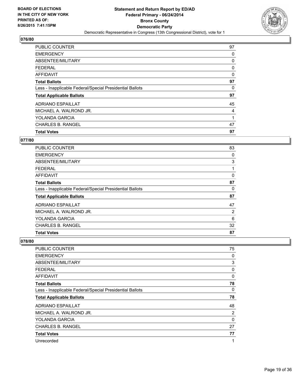

| <b>PUBLIC COUNTER</b>                                    | 97 |
|----------------------------------------------------------|----|
| <b>EMERGENCY</b>                                         | 0  |
| ABSENTEE/MILITARY                                        | 0  |
| <b>FEDERAL</b>                                           | 0  |
| AFFIDAVIT                                                | 0  |
| <b>Total Ballots</b>                                     | 97 |
| Less - Inapplicable Federal/Special Presidential Ballots | 0  |
| <b>Total Applicable Ballots</b>                          | 97 |
| ADRIANO ESPAILLAT                                        | 45 |
| MICHAEL A. WALROND JR.                                   | 4  |
| <b>YOLANDA GARCIA</b>                                    | 1  |
| <b>CHARLES B. RANGEL</b>                                 | 47 |
| <b>Total Votes</b>                                       | 97 |

# **077/80**

| <b>PUBLIC COUNTER</b>                                    | 83 |
|----------------------------------------------------------|----|
| <b>EMERGENCY</b>                                         | 0  |
| ABSENTEE/MILITARY                                        | 3  |
| FEDERAL                                                  |    |
| <b>AFFIDAVIT</b>                                         | 0  |
| <b>Total Ballots</b>                                     | 87 |
| Less - Inapplicable Federal/Special Presidential Ballots | 0  |
| <b>Total Applicable Ballots</b>                          | 87 |
| <b>ADRIANO ESPAILLAT</b>                                 | 47 |
| MICHAEL A. WALROND JR.                                   | 2  |
| YOLANDA GARCIA                                           | 6  |
| <b>CHARLES B. RANGEL</b>                                 | 32 |
| <b>Total Votes</b>                                       | 87 |

| <b>PUBLIC COUNTER</b>                                    | 75 |
|----------------------------------------------------------|----|
| <b>EMERGENCY</b>                                         | 0  |
| ABSENTEE/MILITARY                                        | 3  |
| FEDERAL                                                  | 0  |
| <b>AFFIDAVIT</b>                                         | 0  |
| <b>Total Ballots</b>                                     | 78 |
| Less - Inapplicable Federal/Special Presidential Ballots | 0  |
| <b>Total Applicable Ballots</b>                          | 78 |
| <b>ADRIANO ESPAILLAT</b>                                 | 48 |
| MICHAEL A. WALROND JR.                                   | 2  |
| <b>YOLANDA GARCIA</b>                                    | 0  |
| <b>CHARLES B. RANGEL</b>                                 | 27 |
| <b>Total Votes</b>                                       | 77 |
| Unrecorded                                               | 1  |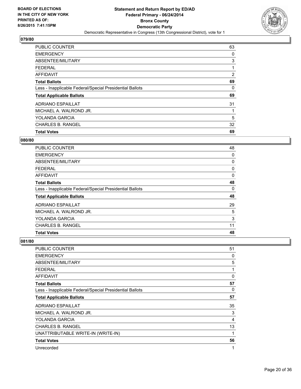

| <b>PUBLIC COUNTER</b>                                    | 63 |
|----------------------------------------------------------|----|
| <b>EMERGENCY</b>                                         | 0  |
| ABSENTEE/MILITARY                                        | 3  |
| <b>FEDERAL</b>                                           |    |
| AFFIDAVIT                                                | 2  |
| <b>Total Ballots</b>                                     | 69 |
| Less - Inapplicable Federal/Special Presidential Ballots | 0  |
| <b>Total Applicable Ballots</b>                          | 69 |
| ADRIANO ESPAILLAT                                        | 31 |
| MICHAEL A. WALROND JR.                                   |    |
| YOLANDA GARCIA                                           | 5  |
| <b>CHARLES B. RANGEL</b>                                 | 32 |
| <b>Total Votes</b>                                       | 69 |

#### **080/80**

| <b>PUBLIC COUNTER</b>                                    | 48 |
|----------------------------------------------------------|----|
| <b>EMERGENCY</b>                                         | 0  |
| ABSENTEE/MILITARY                                        | 0  |
| <b>FEDERAL</b>                                           | 0  |
| AFFIDAVIT                                                | 0  |
| <b>Total Ballots</b>                                     | 48 |
| Less - Inapplicable Federal/Special Presidential Ballots | 0  |
| <b>Total Applicable Ballots</b>                          | 48 |
| <b>ADRIANO ESPAILLAT</b>                                 | 29 |
| MICHAEL A. WALROND JR.                                   | 5  |
| <b>YOLANDA GARCIA</b>                                    | 3  |
| <b>CHARLES B. RANGEL</b>                                 | 11 |
| <b>Total Votes</b>                                       | 48 |

| <b>PUBLIC COUNTER</b>                                    | 51          |
|----------------------------------------------------------|-------------|
| <b>EMERGENCY</b>                                         | 0           |
| ABSENTEE/MILITARY                                        | 5           |
| <b>FEDERAL</b>                                           | 1           |
| <b>AFFIDAVIT</b>                                         | $\Omega$    |
| <b>Total Ballots</b>                                     | 57          |
| Less - Inapplicable Federal/Special Presidential Ballots | 0           |
| <b>Total Applicable Ballots</b>                          | 57          |
| <b>ADRIANO ESPAILLAT</b>                                 | 35          |
| MICHAEL A. WALROND JR.                                   | 3           |
| YOLANDA GARCIA                                           | 4           |
| <b>CHARLES B. RANGEL</b>                                 | 13          |
| UNATTRIBUTABLE WRITE-IN (WRITE-IN)                       | $\mathbf 1$ |
| <b>Total Votes</b>                                       | 56          |
| Unrecorded                                               | 1           |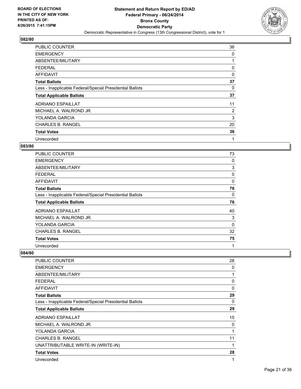

| <b>PUBLIC COUNTER</b>                                    | 36             |
|----------------------------------------------------------|----------------|
| <b>EMERGENCY</b>                                         | 0              |
| ABSENTEE/MILITARY                                        |                |
| <b>FEDERAL</b>                                           | 0              |
| AFFIDAVIT                                                | 0              |
| <b>Total Ballots</b>                                     | 37             |
| Less - Inapplicable Federal/Special Presidential Ballots | 0              |
| <b>Total Applicable Ballots</b>                          | 37             |
| <b>ADRIANO ESPAILLAT</b>                                 | 11             |
| MICHAEL A. WALROND JR.                                   | $\overline{2}$ |
| <b>YOLANDA GARCIA</b>                                    | 3              |
| <b>CHARLES B. RANGEL</b>                                 | 20             |
| <b>Total Votes</b>                                       | 36             |
| Unrecorded                                               | 1              |

## **083/80**

| PUBLIC COUNTER                                           | 73           |
|----------------------------------------------------------|--------------|
| <b>EMERGENCY</b>                                         | 0            |
| ABSENTEE/MILITARY                                        | 3            |
| <b>FEDERAL</b>                                           | 0            |
| AFFIDAVIT                                                | 0            |
| <b>Total Ballots</b>                                     | 76           |
| Less - Inapplicable Federal/Special Presidential Ballots | 0            |
| <b>Total Applicable Ballots</b>                          | 76           |
| <b>ADRIANO ESPAILLAT</b>                                 | 40           |
| MICHAEL A. WALROND JR.                                   | 3            |
| YOLANDA GARCIA                                           | 0            |
| <b>CHARLES B. RANGEL</b>                                 | 32           |
| <b>Total Votes</b>                                       | 75           |
| Unrecorded                                               | $\mathbf{1}$ |

| <b>PUBLIC COUNTER</b>                                    | 28 |
|----------------------------------------------------------|----|
| <b>EMERGENCY</b>                                         | 0  |
| ABSENTEE/MILITARY                                        | 1  |
| <b>FEDERAL</b>                                           | 0  |
| AFFIDAVIT                                                | 0  |
| <b>Total Ballots</b>                                     | 29 |
| Less - Inapplicable Federal/Special Presidential Ballots | 0  |
| <b>Total Applicable Ballots</b>                          | 29 |
| <b>ADRIANO ESPAILLAT</b>                                 | 15 |
| MICHAEL A. WALROND JR.                                   | 0  |
| <b>YOLANDA GARCIA</b>                                    | 1  |
| <b>CHARLES B. RANGEL</b>                                 | 11 |
| UNATTRIBUTABLE WRITE-IN (WRITE-IN)                       | 1  |
| <b>Total Votes</b>                                       | 28 |
| Unrecorded                                               | 1  |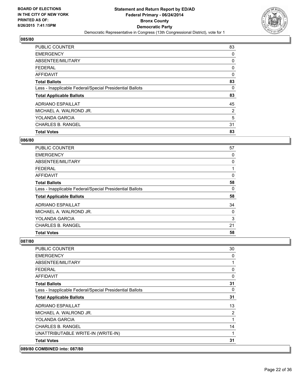

| <b>PUBLIC COUNTER</b>                                    | 83 |
|----------------------------------------------------------|----|
| <b>EMERGENCY</b>                                         | 0  |
| ABSENTEE/MILITARY                                        | 0  |
| <b>FEDERAL</b>                                           | 0  |
| <b>AFFIDAVIT</b>                                         | 0  |
| <b>Total Ballots</b>                                     | 83 |
| Less - Inapplicable Federal/Special Presidential Ballots | 0  |
| <b>Total Applicable Ballots</b>                          | 83 |
| <b>ADRIANO ESPAILLAT</b>                                 | 45 |
| MICHAEL A. WALROND JR.                                   | 2  |
| YOLANDA GARCIA                                           | 5  |
| <b>CHARLES B. RANGEL</b>                                 | 31 |
| <b>Total Votes</b>                                       | 83 |

## **086/80**

| <b>PUBLIC COUNTER</b>                                    | 57 |
|----------------------------------------------------------|----|
| <b>EMERGENCY</b>                                         | 0  |
| ABSENTEE/MILITARY                                        | 0  |
| FEDERAL                                                  |    |
| <b>AFFIDAVIT</b>                                         | 0  |
| <b>Total Ballots</b>                                     | 58 |
| Less - Inapplicable Federal/Special Presidential Ballots | 0  |
| <b>Total Applicable Ballots</b>                          | 58 |
| <b>ADRIANO ESPAILLAT</b>                                 | 34 |
| MICHAEL A. WALROND JR.                                   | 0  |
| YOLANDA GARCIA                                           | 3  |
| <b>CHARLES B. RANGEL</b>                                 | 21 |
| <b>Total Votes</b>                                       | 58 |

| 089/80 COMBINED into: 087/80                             |             |
|----------------------------------------------------------|-------------|
| <b>Total Votes</b>                                       | 31          |
| UNATTRIBUTABLE WRITE-IN (WRITE-IN)                       | 1           |
| <b>CHARLES B. RANGEL</b>                                 | 14          |
| YOLANDA GARCIA                                           | 1           |
| MICHAEL A. WALROND JR.                                   | 2           |
| <b>ADRIANO ESPAILLAT</b>                                 | 13          |
| <b>Total Applicable Ballots</b>                          | 31          |
| Less - Inapplicable Federal/Special Presidential Ballots | 0           |
| <b>Total Ballots</b>                                     | 31          |
| <b>AFFIDAVIT</b>                                         | $\mathbf 0$ |
| <b>FEDERAL</b>                                           | 0           |
| ABSENTEE/MILITARY                                        | 1           |
| <b>EMERGENCY</b>                                         | 0           |
| <b>PUBLIC COUNTER</b>                                    | 30          |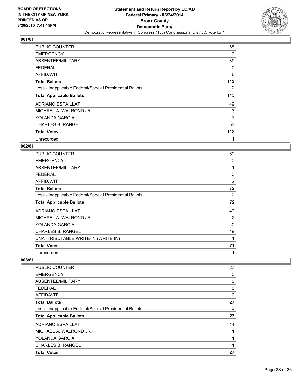

| <b>PUBLIC COUNTER</b>                                    | 68  |
|----------------------------------------------------------|-----|
| <b>EMERGENCY</b>                                         | 0   |
| ABSENTEE/MILITARY                                        | 39  |
| <b>FEDERAL</b>                                           | 0   |
| AFFIDAVIT                                                | 6   |
| <b>Total Ballots</b>                                     | 113 |
| Less - Inapplicable Federal/Special Presidential Ballots | 0   |
| <b>Total Applicable Ballots</b>                          | 113 |
| <b>ADRIANO ESPAILLAT</b>                                 | 49  |
| MICHAEL A. WALROND JR.                                   | 3   |
| YOLANDA GARCIA                                           | 7   |
| <b>CHARLES B. RANGEL</b>                                 | 53  |
| <b>Total Votes</b>                                       | 112 |
| Unrecorded                                               | 1   |

## **002/81**

| <b>PUBLIC COUNTER</b>                                    | 69             |
|----------------------------------------------------------|----------------|
| <b>EMERGENCY</b>                                         | 0              |
| ABSENTEE/MILITARY                                        | 1              |
| <b>FEDERAL</b>                                           | 0              |
| AFFIDAVIT                                                | $\overline{2}$ |
| <b>Total Ballots</b>                                     | 72             |
| Less - Inapplicable Federal/Special Presidential Ballots | 0              |
| <b>Total Applicable Ballots</b>                          | 72             |
| <b>ADRIANO ESPAILLAT</b>                                 | 49             |
| MICHAEL A. WALROND JR.                                   | 2              |
| YOLANDA GARCIA                                           | $\Omega$       |
| <b>CHARLES B. RANGEL</b>                                 | 19             |
| UNATTRIBUTABLE WRITE-IN (WRITE-IN)                       | 1              |
| <b>Total Votes</b>                                       | 71             |
| Unrecorded                                               | 1              |

| <b>CHARLES B. RANGEL</b>                                 | 11 |
|----------------------------------------------------------|----|
| <b>YOLANDA GARCIA</b>                                    | 1  |
| MICHAEL A. WALROND JR.                                   | 1  |
| <b>ADRIANO ESPAILLAT</b>                                 | 14 |
| <b>Total Applicable Ballots</b>                          | 27 |
| Less - Inapplicable Federal/Special Presidential Ballots | 0  |
| <b>Total Ballots</b>                                     | 27 |
| AFFIDAVIT                                                | 0  |
| <b>FEDERAL</b>                                           | 0  |
| ABSENTEE/MILITARY                                        | 0  |
| <b>EMERGENCY</b>                                         | 0  |
| <b>PUBLIC COUNTER</b>                                    | 27 |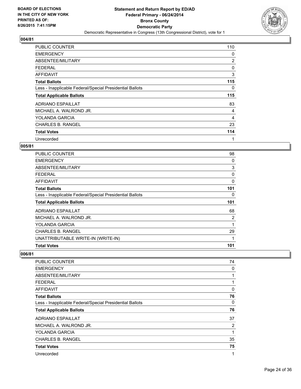

| <b>PUBLIC COUNTER</b>                                    | 110            |
|----------------------------------------------------------|----------------|
| <b>EMERGENCY</b>                                         | 0              |
| ABSENTEE/MILITARY                                        | $\overline{2}$ |
| <b>FEDERAL</b>                                           | 0              |
| AFFIDAVIT                                                | 3              |
| <b>Total Ballots</b>                                     | 115            |
| Less - Inapplicable Federal/Special Presidential Ballots | 0              |
| <b>Total Applicable Ballots</b>                          | 115            |
| ADRIANO ESPAILLAT                                        | 83             |
| MICHAEL A. WALROND JR.                                   | 4              |
| YOLANDA GARCIA                                           | 4              |
| <b>CHARLES B. RANGEL</b>                                 | 23             |
| <b>Total Votes</b>                                       | 114            |
| Unrecorded                                               |                |

## **005/81**

| <b>PUBLIC COUNTER</b>                                    | 98  |
|----------------------------------------------------------|-----|
| <b>EMERGENCY</b>                                         | 0   |
| ABSENTEE/MILITARY                                        | 3   |
| <b>FEDERAL</b>                                           | 0   |
| AFFIDAVIT                                                | 0   |
| <b>Total Ballots</b>                                     | 101 |
| Less - Inapplicable Federal/Special Presidential Ballots | 0   |
| <b>Total Applicable Ballots</b>                          | 101 |
| <b>ADRIANO ESPAILLAT</b>                                 | 68  |
| MICHAEL A. WALROND JR.                                   | 2   |
| YOLANDA GARCIA                                           | 1   |
| <b>CHARLES B. RANGEL</b>                                 | 29  |
| UNATTRIBUTABLE WRITE-IN (WRITE-IN)                       | 1   |
| <b>Total Votes</b>                                       | 101 |

| <b>PUBLIC COUNTER</b>                                    | 74 |
|----------------------------------------------------------|----|
| <b>EMERGENCY</b>                                         | 0  |
| ABSENTEE/MILITARY                                        | 1  |
| <b>FEDERAL</b>                                           | 1  |
| AFFIDAVIT                                                | 0  |
| <b>Total Ballots</b>                                     | 76 |
| Less - Inapplicable Federal/Special Presidential Ballots | 0  |
| <b>Total Applicable Ballots</b>                          | 76 |
| <b>ADRIANO ESPAILLAT</b>                                 | 37 |
| MICHAEL A. WALROND JR.                                   | 2  |
| YOLANDA GARCIA                                           | 1  |
| <b>CHARLES B. RANGEL</b>                                 | 35 |
| <b>Total Votes</b>                                       | 75 |
| Unrecorded                                               | 1  |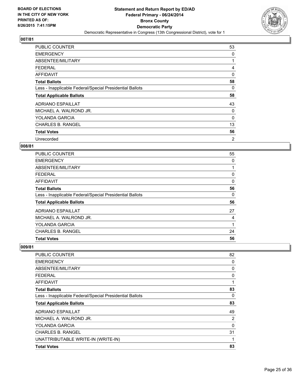

| <b>PUBLIC COUNTER</b>                                    | 53 |
|----------------------------------------------------------|----|
| <b>EMERGENCY</b>                                         | 0  |
| ABSENTEE/MILITARY                                        |    |
| <b>FEDERAL</b>                                           | 4  |
| <b>AFFIDAVIT</b>                                         | 0  |
| <b>Total Ballots</b>                                     | 58 |
| Less - Inapplicable Federal/Special Presidential Ballots | 0  |
| <b>Total Applicable Ballots</b>                          | 58 |
| ADRIANO ESPAILLAT                                        | 43 |
| MICHAEL A. WALROND JR.                                   | 0  |
| <b>YOLANDA GARCIA</b>                                    | 0  |
| <b>CHARLES B. RANGEL</b>                                 | 13 |
| <b>Total Votes</b>                                       | 56 |
| Unrecorded                                               | 2  |

## **008/81**

| PUBLIC COUNTER                                           | 55 |
|----------------------------------------------------------|----|
| <b>EMERGENCY</b>                                         | 0  |
| ABSENTEE/MILITARY                                        | 1  |
| <b>FEDERAL</b>                                           | 0  |
| AFFIDAVIT                                                | 0  |
| <b>Total Ballots</b>                                     | 56 |
| Less - Inapplicable Federal/Special Presidential Ballots | 0  |
| <b>Total Applicable Ballots</b>                          | 56 |
| <b>ADRIANO ESPAILLAT</b>                                 | 27 |
| MICHAEL A. WALROND JR.                                   | 4  |
| <b>YOLANDA GARCIA</b>                                    | 1  |
| <b>CHARLES B. RANGEL</b>                                 | 24 |
| <b>Total Votes</b>                                       | 56 |

| PUBLIC COUNTER                                           | 82 |
|----------------------------------------------------------|----|
| <b>EMERGENCY</b>                                         | 0  |
| ABSENTEE/MILITARY                                        | 0  |
| <b>FEDERAL</b>                                           | 0  |
| <b>AFFIDAVIT</b>                                         | 1  |
| <b>Total Ballots</b>                                     | 83 |
| Less - Inapplicable Federal/Special Presidential Ballots | 0  |
| <b>Total Applicable Ballots</b>                          | 83 |
| <b>ADRIANO ESPAILLAT</b>                                 | 49 |
| MICHAEL A. WALROND JR.                                   | 2  |
| <b>YOLANDA GARCIA</b>                                    | 0  |
| <b>CHARLES B. RANGEL</b>                                 | 31 |
| UNATTRIBUTABLE WRITE-IN (WRITE-IN)                       | 1  |
| <b>Total Votes</b>                                       | 83 |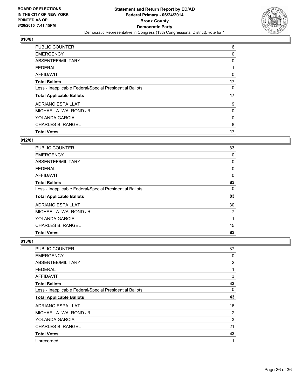

| PUBLIC COUNTER                                           | 16 |
|----------------------------------------------------------|----|
| <b>EMERGENCY</b>                                         | 0  |
| ABSENTEE/MILITARY                                        | 0  |
| <b>FEDERAL</b>                                           |    |
| <b>AFFIDAVIT</b>                                         | 0  |
| <b>Total Ballots</b>                                     | 17 |
| Less - Inapplicable Federal/Special Presidential Ballots | 0  |
| <b>Total Applicable Ballots</b>                          | 17 |
| ADRIANO ESPAILLAT                                        | 9  |
| MICHAEL A. WALROND JR.                                   | 0  |
| <b>YOLANDA GARCIA</b>                                    | 0  |
| <b>CHARLES B. RANGEL</b>                                 | 8  |
| <b>Total Votes</b>                                       | 17 |

# **012/81**

| <b>PUBLIC COUNTER</b>                                    | 83 |
|----------------------------------------------------------|----|
| <b>EMERGENCY</b>                                         | 0  |
| ABSENTEE/MILITARY                                        | 0  |
| FEDERAL                                                  | 0  |
| <b>AFFIDAVIT</b>                                         | 0  |
| <b>Total Ballots</b>                                     | 83 |
| Less - Inapplicable Federal/Special Presidential Ballots | 0  |
| <b>Total Applicable Ballots</b>                          | 83 |
| <b>ADRIANO ESPAILLAT</b>                                 | 30 |
| MICHAEL A. WALROND JR.                                   | 7  |
| YOLANDA GARCIA                                           | 1  |
| <b>CHARLES B. RANGEL</b>                                 | 45 |
| <b>Total Votes</b>                                       | 83 |

| <b>PUBLIC COUNTER</b>                                    | 37             |
|----------------------------------------------------------|----------------|
| <b>EMERGENCY</b>                                         | 0              |
| ABSENTEE/MILITARY                                        | $\overline{2}$ |
| <b>FEDERAL</b>                                           | 1              |
| <b>AFFIDAVIT</b>                                         | 3              |
| <b>Total Ballots</b>                                     | 43             |
| Less - Inapplicable Federal/Special Presidential Ballots | 0              |
| <b>Total Applicable Ballots</b>                          | 43             |
| <b>ADRIANO ESPAILLAT</b>                                 | 16             |
| MICHAEL A. WALROND JR.                                   | 2              |
| <b>YOLANDA GARCIA</b>                                    | 3              |
| <b>CHARLES B. RANGEL</b>                                 | 21             |
| <b>Total Votes</b>                                       | 42             |
| Unrecorded                                               | 1              |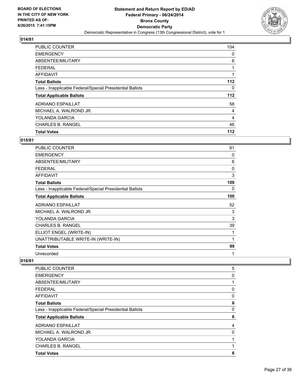

| <b>PUBLIC COUNTER</b>                                    | 104   |
|----------------------------------------------------------|-------|
| <b>EMERGENCY</b>                                         | 0     |
| ABSENTEE/MILITARY                                        | 6     |
| <b>FEDERAL</b>                                           | 1     |
| AFFIDAVIT                                                |       |
| <b>Total Ballots</b>                                     | 112   |
| Less - Inapplicable Federal/Special Presidential Ballots | 0     |
| <b>Total Applicable Ballots</b>                          | $112$ |
| <b>ADRIANO ESPAILLAT</b>                                 | 58    |
| MICHAEL A. WALROND JR.                                   | 4     |
| <b>YOLANDA GARCIA</b>                                    | 4     |
| <b>CHARLES B. RANGEL</b>                                 | 46    |
| <b>Total Votes</b>                                       | 112   |

## **015/81**

| <b>PUBLIC COUNTER</b>                                    | 91  |
|----------------------------------------------------------|-----|
| <b>EMERGENCY</b>                                         | 0   |
| ABSENTEE/MILITARY                                        | 6   |
| <b>FEDERAL</b>                                           | 0   |
| <b>AFFIDAVIT</b>                                         | 3   |
| <b>Total Ballots</b>                                     | 100 |
| Less - Inapplicable Federal/Special Presidential Ballots | 0   |
| <b>Total Applicable Ballots</b>                          | 100 |
| <b>ADRIANO ESPAILLAT</b>                                 | 52  |
| MICHAEL A. WALROND JR.                                   | 3   |
| YOLANDA GARCIA                                           | 3   |
| <b>CHARLES B. RANGEL</b>                                 | 39  |
| ELLIOT ENGEL (WRITE-IN)                                  | 1   |
| UNATTRIBUTABLE WRITE-IN (WRITE-IN)                       | 1   |
| <b>Total Votes</b>                                       | 99  |
| Unrecorded                                               | 1   |

| PUBLIC COUNTER                                           | 5        |
|----------------------------------------------------------|----------|
| <b>EMERGENCY</b>                                         | 0        |
|                                                          |          |
| ABSENTEE/MILITARY                                        | 1        |
| <b>FEDERAL</b>                                           | 0        |
| <b>AFFIDAVIT</b>                                         | $\Omega$ |
| <b>Total Ballots</b>                                     | 6        |
| Less - Inapplicable Federal/Special Presidential Ballots | 0        |
| <b>Total Applicable Ballots</b>                          | 6        |
| <b>ADRIANO ESPAILLAT</b>                                 | 4        |
| MICHAEL A. WALROND JR.                                   | 0        |
| YOLANDA GARCIA                                           | 1        |
| <b>CHARLES B. RANGEL</b>                                 | 1        |
| <b>Total Votes</b>                                       | 6        |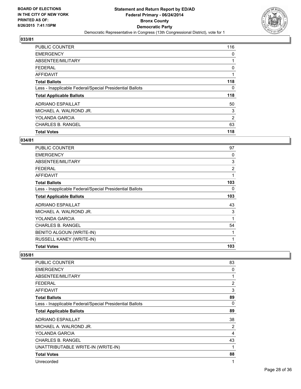

| <b>PUBLIC COUNTER</b>                                    | 116 |
|----------------------------------------------------------|-----|
| <b>EMERGENCY</b>                                         | 0   |
| ABSENTEE/MILITARY                                        |     |
| <b>FEDERAL</b>                                           | 0   |
| <b>AFFIDAVIT</b>                                         |     |
| <b>Total Ballots</b>                                     | 118 |
| Less - Inapplicable Federal/Special Presidential Ballots | 0   |
| <b>Total Applicable Ballots</b>                          | 118 |
| <b>ADRIANO ESPAILLAT</b>                                 | 50  |
| MICHAEL A. WALROND JR.                                   | 3   |
| <b>YOLANDA GARCIA</b>                                    | 2   |
| <b>CHARLES B. RANGEL</b>                                 | 63  |
| <b>Total Votes</b>                                       | 118 |

#### **034/81**

| <b>PUBLIC COUNTER</b>                                    | 97             |
|----------------------------------------------------------|----------------|
| <b>EMERGENCY</b>                                         | 0              |
| <b>ABSENTEE/MILITARY</b>                                 | 3              |
| FEDERAL                                                  | $\overline{2}$ |
| <b>AFFIDAVIT</b>                                         | 1              |
| <b>Total Ballots</b>                                     | 103            |
| Less - Inapplicable Federal/Special Presidential Ballots | 0              |
| <b>Total Applicable Ballots</b>                          | 103            |
| <b>ADRIANO ESPAILLAT</b>                                 | 43             |
| MICHAEL A. WALROND JR.                                   | 3              |
| YOLANDA GARCIA                                           | 1              |
| CHARLES B. RANGEL                                        | 54             |
| BENITO ALGOUN (WRITE-IN)                                 | 1              |
| RUSSELL KANEY (WRITE-IN)                                 | 1              |
| <b>Total Votes</b>                                       | 103            |

| PUBLIC COUNTER                                           | 83 |
|----------------------------------------------------------|----|
| <b>EMERGENCY</b>                                         | 0  |
| <b>ABSENTEE/MILITARY</b>                                 | 1  |
| FEDERAL                                                  | 2  |
| <b>AFFIDAVIT</b>                                         | 3  |
| <b>Total Ballots</b>                                     | 89 |
| Less - Inapplicable Federal/Special Presidential Ballots | 0  |
| <b>Total Applicable Ballots</b>                          | 89 |
| <b>ADRIANO ESPAILLAT</b>                                 | 38 |
| MICHAEL A. WALROND JR.                                   | 2  |
| YOLANDA GARCIA                                           | 4  |
| <b>CHARLES B. RANGEL</b>                                 | 43 |
| UNATTRIBUTABLE WRITE-IN (WRITE-IN)                       | 1  |
| <b>Total Votes</b>                                       | 88 |
| Unrecorded                                               | 1  |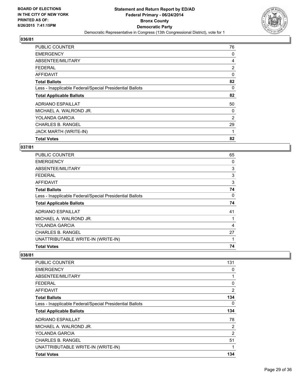

| <b>PUBLIC COUNTER</b>                                    | 76             |
|----------------------------------------------------------|----------------|
| <b>EMERGENCY</b>                                         | 0              |
| ABSENTEE/MILITARY                                        | 4              |
| <b>FEDERAL</b>                                           | $\overline{2}$ |
| AFFIDAVIT                                                | 0              |
| <b>Total Ballots</b>                                     | 82             |
| Less - Inapplicable Federal/Special Presidential Ballots | 0              |
| <b>Total Applicable Ballots</b>                          | 82             |
| ADRIANO ESPAILLAT                                        | 50             |
| MICHAEL A. WALROND JR.                                   | 0              |
| YOLANDA GARCIA                                           | 2              |
| <b>CHARLES B. RANGEL</b>                                 | 29             |
| <b>JACK MARTH (WRITE-IN)</b>                             | 1              |
| <b>Total Votes</b>                                       | 82             |

## **037/81**

| <b>PUBLIC COUNTER</b>                                    | 65 |
|----------------------------------------------------------|----|
| <b>EMERGENCY</b>                                         | 0  |
| ABSENTEE/MILITARY                                        | 3  |
| <b>FEDERAL</b>                                           | 3  |
| AFFIDAVIT                                                | 3  |
| <b>Total Ballots</b>                                     | 74 |
| Less - Inapplicable Federal/Special Presidential Ballots | 0  |
| <b>Total Applicable Ballots</b>                          | 74 |
| <b>ADRIANO ESPAILLAT</b>                                 | 41 |
| MICHAEL A. WALROND JR.                                   |    |
| <b>YOLANDA GARCIA</b>                                    | 4  |
| <b>CHARLES B. RANGEL</b>                                 | 27 |
| UNATTRIBUTABLE WRITE-IN (WRITE-IN)                       | 1  |
| <b>Total Votes</b>                                       | 74 |

| <b>PUBLIC COUNTER</b>                                    | 131 |
|----------------------------------------------------------|-----|
| <b>EMERGENCY</b>                                         | 0   |
| ABSENTEE/MILITARY                                        | 1   |
| <b>FEDERAL</b>                                           | 0   |
| AFFIDAVIT                                                | 2   |
| <b>Total Ballots</b>                                     | 134 |
| Less - Inapplicable Federal/Special Presidential Ballots | 0   |
| <b>Total Applicable Ballots</b>                          | 134 |
| <b>ADRIANO ESPAILLAT</b>                                 | 78  |
| MICHAEL A. WALROND JR.                                   | 2   |
| <b>YOLANDA GARCIA</b>                                    | 2   |
| <b>CHARLES B. RANGEL</b>                                 | 51  |
| UNATTRIBUTABLE WRITE-IN (WRITE-IN)                       | 1   |
| <b>Total Votes</b>                                       | 134 |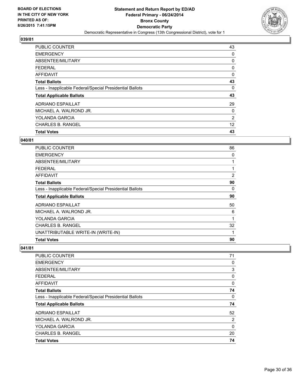

| <b>PUBLIC COUNTER</b>                                    | 43 |
|----------------------------------------------------------|----|
| <b>EMERGENCY</b>                                         | 0  |
| ABSENTEE/MILITARY                                        | 0  |
| FEDERAL                                                  | 0  |
| <b>AFFIDAVIT</b>                                         | 0  |
| <b>Total Ballots</b>                                     | 43 |
| Less - Inapplicable Federal/Special Presidential Ballots | 0  |
| <b>Total Applicable Ballots</b>                          | 43 |
| ADRIANO ESPAILLAT                                        | 29 |
| MICHAEL A. WALROND JR.                                   | 0  |
| <b>YOLANDA GARCIA</b>                                    | 2  |
| <b>CHARLES B. RANGEL</b>                                 | 12 |
| <b>Total Votes</b>                                       | 43 |

#### **040/81**

| <b>PUBLIC COUNTER</b>                                    | 86 |
|----------------------------------------------------------|----|
| <b>EMERGENCY</b>                                         | 0  |
| ABSENTEE/MILITARY                                        | 1  |
| <b>FEDERAL</b>                                           | 1  |
| AFFIDAVIT                                                | 2  |
| <b>Total Ballots</b>                                     | 90 |
| Less - Inapplicable Federal/Special Presidential Ballots | 0  |
| <b>Total Applicable Ballots</b>                          | 90 |
| <b>ADRIANO ESPAILLAT</b>                                 | 50 |
| MICHAEL A. WALROND JR.                                   | 6  |
| YOLANDA GARCIA                                           | 1  |
| <b>CHARLES B. RANGEL</b>                                 | 32 |
| UNATTRIBUTABLE WRITE-IN (WRITE-IN)                       | 1  |
| <b>Total Votes</b>                                       | 90 |

| <b>Total Votes</b>                                       | 74 |
|----------------------------------------------------------|----|
| <b>CHARLES B. RANGEL</b>                                 | 20 |
| YOLANDA GARCIA                                           | 0  |
| MICHAEL A. WALROND JR.                                   | 2  |
| <b>ADRIANO ESPAILLAT</b>                                 | 52 |
| <b>Total Applicable Ballots</b>                          | 74 |
| Less - Inapplicable Federal/Special Presidential Ballots | 0  |
| <b>Total Ballots</b>                                     | 74 |
| AFFIDAVIT                                                | 0  |
| <b>FEDERAL</b>                                           | 0  |
| ABSENTEE/MILITARY                                        | 3  |
| <b>EMERGENCY</b>                                         | 0  |
| PUBLIC COUNTER                                           | 71 |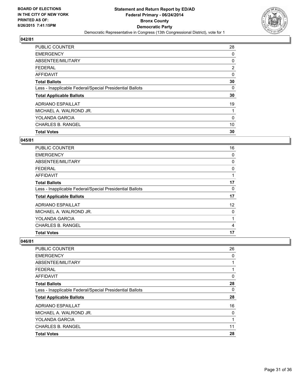

| <b>PUBLIC COUNTER</b>                                    | 28             |
|----------------------------------------------------------|----------------|
| <b>EMERGENCY</b>                                         | 0              |
| ABSENTEE/MILITARY                                        | 0              |
| <b>FEDERAL</b>                                           | $\overline{2}$ |
| <b>AFFIDAVIT</b>                                         | 0              |
| <b>Total Ballots</b>                                     | 30             |
| Less - Inapplicable Federal/Special Presidential Ballots | 0              |
| <b>Total Applicable Ballots</b>                          | 30             |
| <b>ADRIANO ESPAILLAT</b>                                 | 19             |
| MICHAEL A. WALROND JR.                                   |                |
| <b>YOLANDA GARCIA</b>                                    | 0              |
| <b>CHARLES B. RANGEL</b>                                 | 10             |
| <b>Total Votes</b>                                       | 30             |

#### **045/81**

| <b>PUBLIC COUNTER</b>                                    | 16 |
|----------------------------------------------------------|----|
| <b>EMERGENCY</b>                                         | 0  |
| ABSENTEE/MILITARY                                        | 0  |
| FEDERAL                                                  | 0  |
| <b>AFFIDAVIT</b>                                         |    |
| <b>Total Ballots</b>                                     | 17 |
| Less - Inapplicable Federal/Special Presidential Ballots | 0  |
| <b>Total Applicable Ballots</b>                          | 17 |
| <b>ADRIANO ESPAILLAT</b>                                 | 12 |
| MICHAEL A. WALROND JR.                                   | 0  |
| <b>YOLANDA GARCIA</b>                                    | 1  |
| <b>CHARLES B. RANGEL</b>                                 | 4  |
| <b>Total Votes</b>                                       | 17 |

| PUBLIC COUNTER                                           | 26 |
|----------------------------------------------------------|----|
| <b>EMERGENCY</b>                                         | 0  |
| ABSENTEE/MILITARY                                        |    |
| <b>FEDERAL</b>                                           |    |
| AFFIDAVIT                                                | 0  |
| <b>Total Ballots</b>                                     | 28 |
| Less - Inapplicable Federal/Special Presidential Ballots | 0  |
| <b>Total Applicable Ballots</b>                          | 28 |
| <b>ADRIANO ESPAILLAT</b>                                 | 16 |
| MICHAEL A. WALROND JR.                                   | 0  |
| YOLANDA GARCIA                                           | 1  |
| <b>CHARLES B. RANGEL</b>                                 | 11 |
| <b>Total Votes</b>                                       | 28 |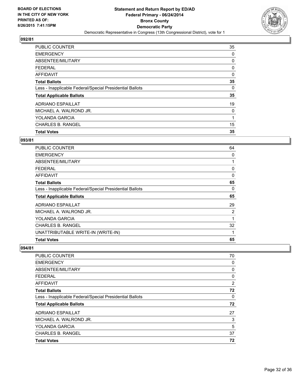

| PUBLIC COUNTER                                           | 35       |
|----------------------------------------------------------|----------|
| <b>EMERGENCY</b>                                         | 0        |
| ABSENTEE/MILITARY                                        | 0        |
| <b>FEDERAL</b>                                           | 0        |
| <b>AFFIDAVIT</b>                                         | 0        |
| <b>Total Ballots</b>                                     | 35       |
| Less - Inapplicable Federal/Special Presidential Ballots | $\Omega$ |
| <b>Total Applicable Ballots</b>                          | 35       |
| <b>ADRIANO ESPAILLAT</b>                                 | 19       |
| MICHAEL A. WALROND JR.                                   | 0        |
| <b>YOLANDA GARCIA</b>                                    | 1        |
| <b>CHARLES B. RANGEL</b>                                 | 15       |
| <b>Total Votes</b>                                       | 35       |

#### **093/81**

| PUBLIC COUNTER                                           | 64          |
|----------------------------------------------------------|-------------|
| <b>EMERGENCY</b>                                         | 0           |
| ABSENTEE/MILITARY                                        | 1           |
| FEDERAL                                                  | 0           |
| AFFIDAVIT                                                | $\mathbf 0$ |
| <b>Total Ballots</b>                                     | 65          |
| Less - Inapplicable Federal/Special Presidential Ballots | 0           |
| <b>Total Applicable Ballots</b>                          | 65          |
| <b>ADRIANO ESPAILLAT</b>                                 | 29          |
| MICHAEL A. WALROND JR.                                   | 2           |
| YOLANDA GARCIA                                           | 1           |
| <b>CHARLES B. RANGEL</b>                                 | 32          |
| UNATTRIBUTABLE WRITE-IN (WRITE-IN)                       | 1           |
| <b>Total Votes</b>                                       | 65          |

| <b>Total Votes</b>                                       | 72             |
|----------------------------------------------------------|----------------|
| <b>CHARLES B. RANGEL</b>                                 | 37             |
| <b>YOLANDA GARCIA</b>                                    | 5              |
| MICHAEL A. WALROND JR.                                   | 3              |
| ADRIANO ESPAILLAT                                        | 27             |
| <b>Total Applicable Ballots</b>                          | 72             |
| Less - Inapplicable Federal/Special Presidential Ballots | 0              |
| <b>Total Ballots</b>                                     | 72             |
| <b>AFFIDAVIT</b>                                         | $\overline{2}$ |
| FEDERAL                                                  | 0              |
| ABSENTEE/MILITARY                                        | 0              |
| <b>EMERGENCY</b>                                         | 0              |
| PUBLIC COUNTER                                           | 70             |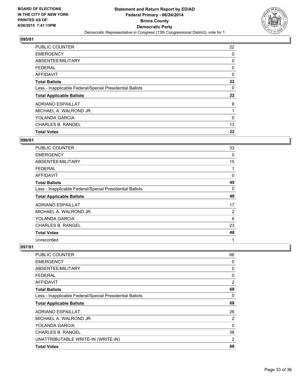

| <b>PUBLIC COUNTER</b>                                    | 22 |
|----------------------------------------------------------|----|
| <b>EMERGENCY</b>                                         | 0  |
| ABSENTEE/MILITARY                                        | 0  |
| <b>FEDERAL</b>                                           | 0  |
| <b>AFFIDAVIT</b>                                         | 0  |
| <b>Total Ballots</b>                                     | 22 |
| Less - Inapplicable Federal/Special Presidential Ballots | 0  |
| <b>Total Applicable Ballots</b>                          | 22 |
| <b>ADRIANO ESPAILLAT</b>                                 | 8  |
| MICHAEL A. WALROND JR.                                   |    |
|                                                          |    |
| <b>YOLANDA GARCIA</b>                                    | 0  |
| <b>CHARLES B. RANGEL</b>                                 | 13 |

#### **096/81**

| PUBLIC COUNTER                                           | 33 |
|----------------------------------------------------------|----|
| <b>EMERGENCY</b>                                         | 0  |
| ABSENTEE/MILITARY                                        | 15 |
| FEDERAL                                                  | 1  |
| <b>AFFIDAVIT</b>                                         | 0  |
| <b>Total Ballots</b>                                     | 49 |
| Less - Inapplicable Federal/Special Presidential Ballots | 0  |
| <b>Total Applicable Ballots</b>                          | 49 |
| <b>ADRIANO ESPAILLAT</b>                                 | 17 |
| MICHAEL A. WALROND JR.                                   | 2  |
| YOLANDA GARCIA                                           | 6  |
| CHARLES B. RANGEL                                        | 23 |
| <b>Total Votes</b>                                       | 48 |
| Unrecorded                                               | 1  |

| <b>PUBLIC COUNTER</b>                                    | 66             |
|----------------------------------------------------------|----------------|
| <b>EMERGENCY</b>                                         | 0              |
| ABSENTEE/MILITARY                                        | 0              |
| <b>FEDERAL</b>                                           | 0              |
| AFFIDAVIT                                                | $\overline{2}$ |
| <b>Total Ballots</b>                                     | 68             |
| Less - Inapplicable Federal/Special Presidential Ballots | 0              |
| <b>Total Applicable Ballots</b>                          | 68             |
| <b>ADRIANO ESPAILLAT</b>                                 | 26             |
| MICHAEL A. WALROND JR.                                   | 2              |
| YOLANDA GARCIA                                           | 0              |
| <b>CHARLES B. RANGEL</b>                                 | 38             |
| UNATTRIBUTABLE WRITE-IN (WRITE-IN)                       | 2              |
| <b>Total Votes</b>                                       | 68             |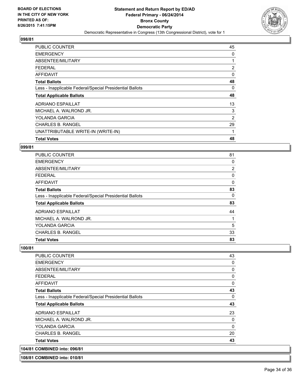

| <b>PUBLIC COUNTER</b>                                    | 45             |
|----------------------------------------------------------|----------------|
| <b>EMERGENCY</b>                                         | 0              |
| ABSENTEE/MILITARY                                        |                |
| <b>FEDERAL</b>                                           | $\overline{2}$ |
| AFFIDAVIT                                                | 0              |
| <b>Total Ballots</b>                                     | 48             |
| Less - Inapplicable Federal/Special Presidential Ballots | 0              |
| <b>Total Applicable Ballots</b>                          | 48             |
| <b>ADRIANO ESPAILLAT</b>                                 | 13             |
| MICHAEL A. WALROND JR.                                   | 3              |
| YOLANDA GARCIA                                           | 2              |
| <b>CHARLES B. RANGEL</b>                                 | 29             |
| UNATTRIBUTABLE WRITE-IN (WRITE-IN)                       | 1              |
| <b>Total Votes</b>                                       | 48             |

#### **099/81**

| <b>Total Votes</b>                                       | 83 |
|----------------------------------------------------------|----|
| <b>CHARLES B. RANGEL</b>                                 | 33 |
| YOLANDA GARCIA                                           | 5  |
| MICHAEL A. WALROND JR.                                   |    |
| <b>ADRIANO ESPAILLAT</b>                                 | 44 |
| <b>Total Applicable Ballots</b>                          | 83 |
| Less - Inapplicable Federal/Special Presidential Ballots | 0  |
| <b>Total Ballots</b>                                     | 83 |
| <b>AFFIDAVIT</b>                                         | 0  |
| <b>FEDERAL</b>                                           | 0  |
| ABSENTEE/MILITARY                                        | 2  |
| <b>EMERGENCY</b>                                         | 0  |
| <b>PUBLIC COUNTER</b>                                    | 81 |

#### **100/81**

| <b>EMERGENCY</b>                                         | 0        |
|----------------------------------------------------------|----------|
| ABSENTEE/MILITARY                                        | 0        |
| <b>FEDERAL</b>                                           | 0        |
| AFFIDAVIT                                                | 0        |
| <b>Total Ballots</b>                                     | 43       |
| Less - Inapplicable Federal/Special Presidential Ballots | 0        |
| <b>Total Applicable Ballots</b>                          | 43       |
| <b>ADRIANO ESPAILLAT</b>                                 | 23       |
| MICHAEL A. WALROND JR.                                   | 0        |
| YOLANDA GARCIA                                           | $\Omega$ |
| <b>CHARLES B. RANGEL</b>                                 | 20       |
| <b>Total Votes</b>                                       | 43       |
| 104/81 COMBINED into: 096/81                             |          |

#### **108/81 COMBINED into: 010/81**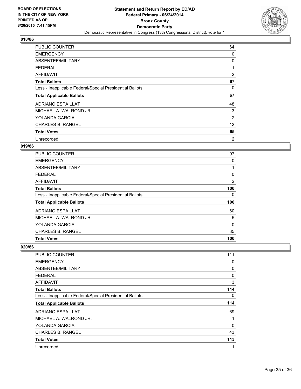

| <b>PUBLIC COUNTER</b>                                    | 64             |
|----------------------------------------------------------|----------------|
| <b>EMERGENCY</b>                                         | 0              |
| ABSENTEE/MILITARY                                        | 0              |
| <b>FEDERAL</b>                                           | 1              |
| AFFIDAVIT                                                | $\overline{2}$ |
| <b>Total Ballots</b>                                     | 67             |
| Less - Inapplicable Federal/Special Presidential Ballots | 0              |
| <b>Total Applicable Ballots</b>                          | 67             |
| <b>ADRIANO ESPAILLAT</b>                                 | 48             |
| MICHAEL A. WALROND JR.                                   | 3              |
| <b>YOLANDA GARCIA</b>                                    | 2              |
| <b>CHARLES B. RANGEL</b>                                 | 12             |
| <b>Total Votes</b>                                       | 65             |
| Unrecorded                                               | 2              |

## **019/86**

| <b>PUBLIC COUNTER</b>                                    | 97       |
|----------------------------------------------------------|----------|
| <b>EMERGENCY</b>                                         | 0        |
| ABSENTEE/MILITARY                                        | 1        |
| <b>FEDERAL</b>                                           | 0        |
| AFFIDAVIT                                                | 2        |
| <b>Total Ballots</b>                                     | 100      |
| Less - Inapplicable Federal/Special Presidential Ballots | 0        |
| <b>Total Applicable Ballots</b>                          | 100      |
| <b>ADRIANO ESPAILLAT</b>                                 | 60       |
| MICHAEL A. WALROND JR.                                   | 5        |
| <b>YOLANDA GARCIA</b>                                    | $\Omega$ |
| <b>CHARLES B. RANGEL</b>                                 | 35       |
| <b>Total Votes</b>                                       | 100      |

| <b>PUBLIC COUNTER</b>                                    | 111          |
|----------------------------------------------------------|--------------|
| <b>EMERGENCY</b>                                         | 0            |
| ABSENTEE/MILITARY                                        | 0            |
| <b>FEDERAL</b>                                           | 0            |
| AFFIDAVIT                                                | 3            |
| <b>Total Ballots</b>                                     | 114          |
| Less - Inapplicable Federal/Special Presidential Ballots | 0            |
| <b>Total Applicable Ballots</b>                          | 114          |
| <b>ADRIANO ESPAILLAT</b>                                 | 69           |
| MICHAEL A. WALROND JR.                                   | 1            |
| YOLANDA GARCIA                                           | 0            |
| <b>CHARLES B. RANGEL</b>                                 | 43           |
| <b>Total Votes</b>                                       | 113          |
| Unrecorded                                               | $\mathbf{1}$ |